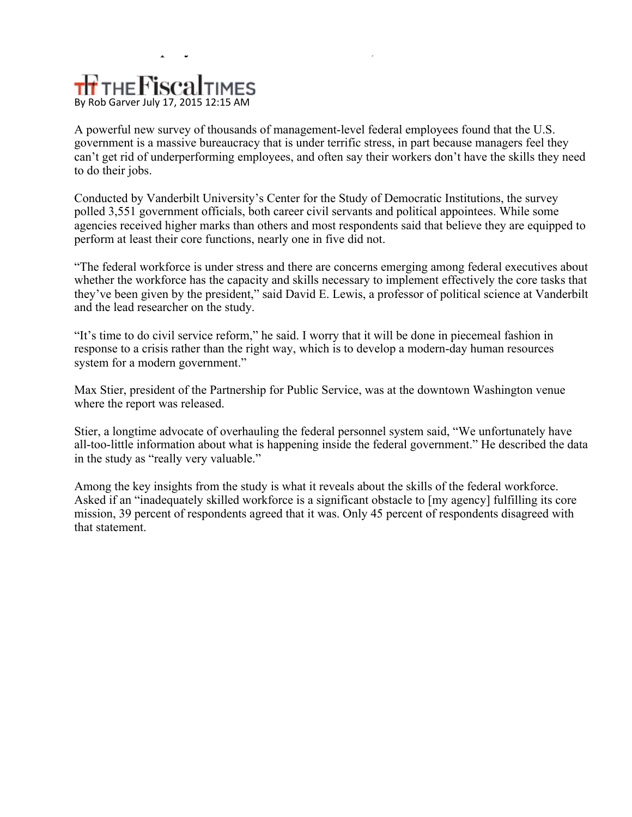## THE FiscalTIMES By Rob Garver July 17, 2015 12:15 AM

A powerful new survey of thousands of management-level federal employees found that the U.S. government is a massive bureaucracy that is under terrific stress, in part because managers feel they can't get rid of underperforming employees, and often say their workers don't have the skills they need to do their jobs.

 $p$  , and the set of the set of the set of the set of the set of the set of the set of the set of the set of the set of the set of the set of the set of the set of the set of the set of the set of the set of the set of th

Conducted by Vanderbilt University's Center for the Study of Democratic Institutions, the survey polled 3,551 government officials, both career civil servants and political appointees. While some agencies received higher marks than others and most respondents said that believe they are equipped to perform at least their core functions, nearly one in five did not.

"The federal workforce is under stress and there are concerns emerging among federal executives about whether the workforce has the capacity and skills necessary to implement effectively the core tasks that they've been given by the president," said David E. Lewis, a professor of political science at Vanderbilt and the lead researcher on the study.

"It's time to do civil service reform," he said. I worry that it will be done in piecemeal fashion in response to a crisis rather than the right way, which is to develop a modern-day human resources system for a modern government."

Max Stier, president of the Partnership for Public Service, was at the downtown Washington venue where the report was released.

Stier, a longtime advocate of overhauling the federal personnel system said, "We unfortunately have all-too-little information about what is happening inside the federal government." He described the data in the study as "really very valuable."

Among the key insights from the study is what it reveals about the skills of the federal workforce. Asked if an "inadequately skilled workforce is a significant obstacle to [my agency] fulfilling its core mission, 39 percent of respondents agreed that it was. Only 45 percent of respondents disagreed with that statement.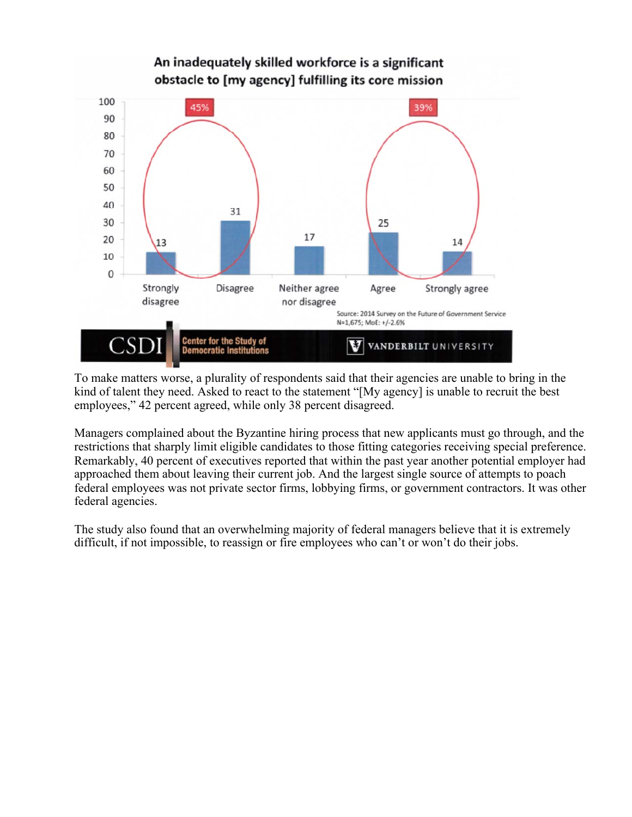

To make matters worse, a plurality of respondents said that their agencies are unable to bring in the kind of talent they need. Asked to react to the statement "[My agency] is unable to recruit the best employees," 42 percent agreed, while only 38 percent disagreed.

Managers complained about the Byzantine hiring process that new applicants must go through, and the restrictions that sharply limit eligible candidates to those fitting categories receiving special preference. Remarkably, 40 percent of executives reported that within the past year another potential employer had approached them about leaving their current job. And the largest single source of attempts to poach federal employees was not private sector firms, lobbying firms, or government contractors. It was other federal agencies.

The study also found that an overwhelming majority of federal managers believe that it is extremely difficult, if not impossible, to reassign or fire employees who can't or won't do their jobs.